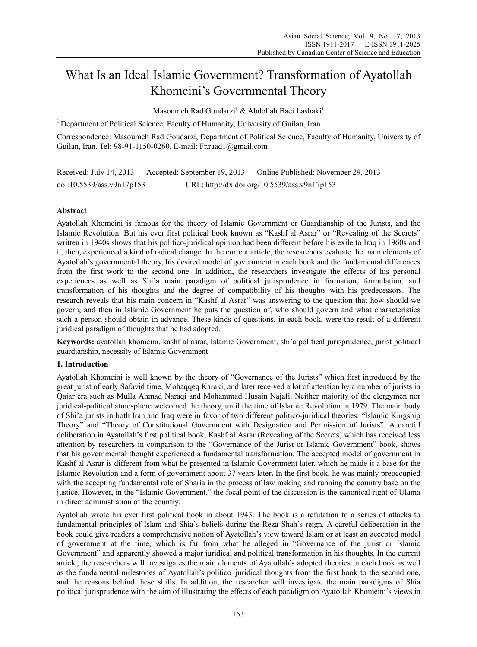# What Is an Ideal Islamic Government? Transformation of Ayatollah Khomeini's Governmental Theory

Masoumeh Rad Goudarzi<sup>1</sup> & Abdollah Baei Lashaki<sup>1</sup>

<sup>1</sup> Department of Political Science, Faculty of Humanity, University of Guilan, Iran

Correspondence: Masoumeh Rad Goudarzi, Department of Political Science, Faculty of Humanity, University of Guilan, Iran. Tel: 98-91-1150-0260. E-mail: Fr.raad1@gmail.com

Received: July 14, 2013 Accepted: September 19, 2013 Online Published: November 29, 2013 doi:10.5539/ass.v9n17p153 URL: http://dx.doi.org/10.5539/ass.v9n17p153

## **Abstract**

Ayatollah Khomeini is famous for the theory of Islamic Government or Guardianship of the Jurists, and the Islamic Revolution. But his ever first political book known as "Kashf al Asrar" or "Revealing of the Secrets" written in 1940s shows that his politico-juridical opinion had been different before his exile to Iraq in 1960s and it, then, experienced a kind of radical change. In the current article, the researchers evaluate the main elements of Ayatollah's governmental theory, his desired model of government in each book and the fundamental differences from the first work to the second one. In addition, the researchers investigate the effects of his personal experiences as well as Shi'a main paradigm of political jurisprudence in formation, formulation, and transformation of his thoughts and the degree of compatibility of his thoughts with his predecessors. The research reveals that his main concern in "Kashf al Asrar" was answering to the question that how should we govern, and then in Islamic Government he puts the question of, who should govern and what characteristics such a person should obtain in advance. These kinds of questions, in each book, were the result of a different juridical paradigm of thoughts that he had adopted.

**Keywords:** ayatollah khomeini, kashf al asrar, Islamic Government, shi'a political jurisprudence, jurist political guardianship, necessity of Islamic Government

### **1. Introduction**

Ayatollah Khomeini is well known by the theory of "Governance of the Jurists" which first introduced by the great jurist of early Safavid time, Mohaqqeq Karaki, and later received a lot of attention by a number of jurists in Qajar era such as Mulla Ahmad Naraqi and Mohammad Husain Najafi. Neither majority of the clergymen nor juridical-political atmosphere welcomed the theory, until the time of Islamic Revolution in 1979. The main body of Shi'a jurists in both Iran and Iraq were in favor of two different politico-juridical theories: "Islamic Kingship Theory" and "Theory of Constitutional Government with Designation and Permission of Jurists". A careful deliberation in Ayatollah's first political book, Kashf al Asrar (Revealing of the Secrets) which has received less attention by researchers in comparison to the "Governance of the Jurist or Islamic Government" book, shows that his governmental thought experienced a fundamental transformation. The accepted model of government in Kashf al Asrar is different from what he presented in Islamic Government later, which he made it a base for the Islamic Revolution and a form of government about 37 years later**.** In the first book, he was mainly preoccupied with the accepting fundamental role of Sharia in the process of law making and running the country base on the justice. However, in the "Islamic Government," the focal point of the discussion is the canonical right of Ulama in direct administration of the country.

Ayatollah wrote his ever first political book in about 1943. The book is a refutation to a series of attacks to fundamental principles of Islam and Shia's beliefs during the Reza Shah's reign. A careful deliberation in the book could give readers a comprehensive notion of Ayatollah's view toward Islam or at least an accepted model of government at the time, which is far from what he alleged in "Governance of the jurist or Islamic Government" and apparently showed a major juridical and political transformation in his thoughts. In the current article, the researchers will investigates the main elements of Ayatollah's adopted theories in each book as well as the fundamental milestones of Ayatollah's politico–juridical thoughts from the first book to the second one, and the reasons behind these shifts. In addition, the researcher will investigate the main paradigms of Shia political jurisprudence with the aim of illustrating the effects of each paradigm on Ayatollah Khomeini's views in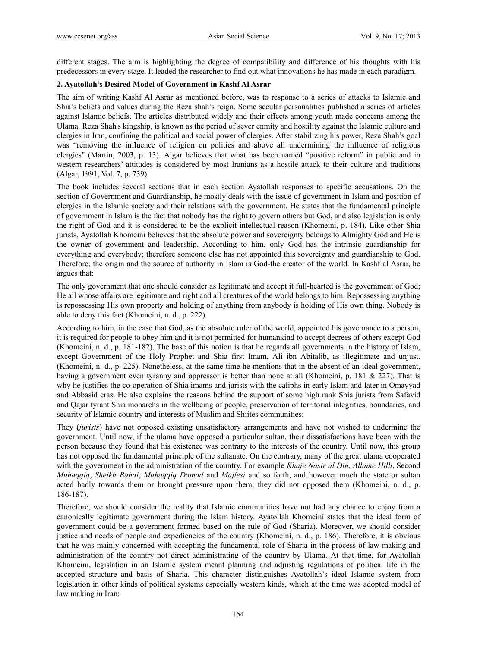different stages. The aim is highlighting the degree of compatibility and difference of his thoughts with his predecessors in every stage. It leaded the researcher to find out what innovations he has made in each paradigm.

# **2. Ayatollah's Desired Model of Government in Kashf Al Asrar**

The aim of writing Kashf Al Asrar as mentioned before, was to response to a series of attacks to Islamic and Shia's beliefs and values during the Reza shah's reign. Some secular personalities published a series of articles against Islamic beliefs. The articles distributed widely and their effects among youth made concerns among the Ulama. Reza Shah's kingship, is known as the period of sever enmity and hostility against the Islamic culture and clergies in Iran, confining the political and social power of clergies. After stabilizing his power, Reza Shah's goal was "removing the influence of religion on politics and above all undermining the influence of religious clergies" (Martin, 2003, p. 13). Algar believes that what has been named "positive reform" in public and in western researchers' attitudes is considered by most Iranians as a hostile attack to their culture and traditions (Algar, 1991, Vol. 7, p. 739).

The book includes several sections that in each section Ayatollah responses to specific accusations. On the section of Government and Guardianship, he mostly deals with the issue of government in Islam and position of clergies in the Islamic society and their relations with the government. He states that the fundamental principle of government in Islam is the fact that nobody has the right to govern others but God, and also legislation is only the right of God and it is considered to be the explicit intellectual reason (Khomeini, p. 184). Like other Shia jurists, Ayatollah Khomeini believes that the absolute power and sovereignty belongs to Almighty God and He is the owner of government and leadership. According to him, only God has the intrinsic guardianship for everything and everybody; therefore someone else has not appointed this sovereignty and guardianship to God. Therefore, the origin and the source of authority in Islam is God-the creator of the world. In Kashf al Asrar, he argues that:

The only government that one should consider as legitimate and accept it full-hearted is the government of God; He all whose affairs are legitimate and right and all creatures of the world belongs to him. Repossessing anything is repossessing His own property and holding of anything from anybody is holding of His own thing. Nobody is able to deny this fact (Khomeini, n. d., p. 222).

According to him, in the case that God, as the absolute ruler of the world, appointed his governance to a person, it is required for people to obey him and it is not permitted for humankind to accept decrees of others except God (Khomeini, n. d., p. 181-182). The base of this notion is that he regards all governments in the history of Islam, except Government of the Holy Prophet and Shia first Imam, Ali ibn Abitalib, as illegitimate and unjust. (Khomeini, n. d., p. 225). Nonetheless, at the same time he mentions that in the absent of an ideal government, having a government even tyranny and oppressor is better than none at all (Khomeini, p. 181 & 227). That is why he justifies the co-operation of Shia imams and jurists with the caliphs in early Islam and later in Omayyad and Abbasid eras. He also explains the reasons behind the support of some high rank Shia jurists from Safavid and Qajar tyrant Shia monarchs in the wellbeing of people, preservation of territorial integrities, boundaries, and security of Islamic country and interests of Muslim and Shiites communities:

They (*jurists*) have not opposed existing unsatisfactory arrangements and have not wished to undermine the government. Until now, if the ulama have opposed a particular sultan, their dissatisfactions have been with the person because they found that his existence was contrary to the interests of the country. Until now, this group has not opposed the fundamental principle of the sultanate. On the contrary, many of the great ulama cooperated with the government in the administration of the country. For example *Khaje Nasir al Din*, *Allame Hilli*, Second *Muhaqqiq*, *Sheikh Bahai*, *Muhaqqiq Damad* and *Majlesi* and so forth, and however much the state or sultan acted badly towards them or brought pressure upon them, they did not opposed them (Khomeini, n. d., p. 186-187).

Therefore, we should consider the reality that Islamic communities have not had any chance to enjoy from a canonically legitimate government during the Islam history. Ayatollah Khomeini states that the ideal form of government could be a government formed based on the rule of God (Sharia). Moreover, we should consider justice and needs of people and expediencies of the country (Khomeini, n. d., p. 186). Therefore, it is obvious that he was mainly concerned with accepting the fundamental role of Sharia in the process of law making and administration of the country not direct administrating of the country by Ulama. At that time, for Ayatollah Khomeini, legislation in an Islamic system meant planning and adjusting regulations of political life in the accepted structure and basis of Sharia. This character distinguishes Ayatollah's ideal Islamic system from legislation in other kinds of political systems especially western kinds, which at the time was adopted model of law making in Iran: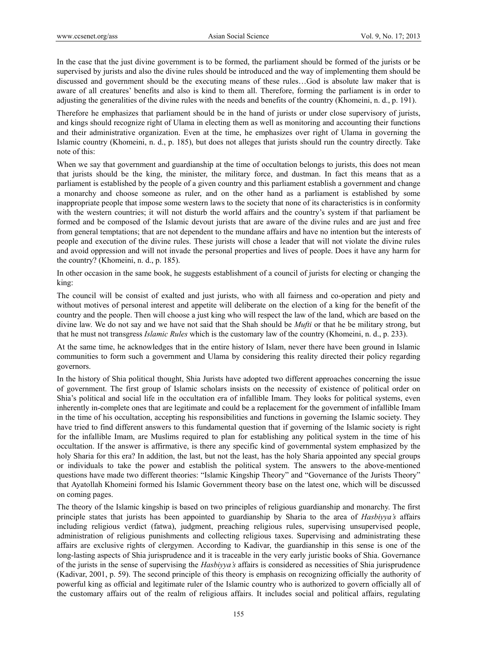In the case that the just divine government is to be formed, the parliament should be formed of the jurists or be supervised by jurists and also the divine rules should be introduced and the way of implementing them should be discussed and government should be the executing means of these rules…God is absolute law maker that is aware of all creatures' benefits and also is kind to them all. Therefore, forming the parliament is in order to adjusting the generalities of the divine rules with the needs and benefits of the country (Khomeini, n. d., p. 191).

Therefore he emphasizes that parliament should be in the hand of jurists or under close supervisory of jurists, and kings should recognize right of Ulama in electing them as well as monitoring and accounting their functions and their administrative organization. Even at the time, he emphasizes over right of Ulama in governing the Islamic country (Khomeini, n. d., p. 185), but does not alleges that jurists should run the country directly. Take note of this:

When we say that government and guardianship at the time of occultation belongs to jurists, this does not mean that jurists should be the king, the minister, the military force, and dustman. In fact this means that as a parliament is established by the people of a given country and this parliament establish a government and change a monarchy and choose someone as ruler, and on the other hand as a parliament is established by some inappropriate people that impose some western laws to the society that none of its characteristics is in conformity with the western countries; it will not disturb the world affairs and the country's system if that parliament be formed and be composed of the Islamic devout jurists that are aware of the divine rules and are just and free from general temptations; that are not dependent to the mundane affairs and have no intention but the interests of people and execution of the divine rules. These jurists will chose a leader that will not violate the divine rules and avoid oppression and will not invade the personal properties and lives of people. Does it have any harm for the country? (Khomeini, n. d., p. 185).

In other occasion in the same book, he suggests establishment of a council of jurists for electing or changing the king:

The council will be consist of exalted and just jurists, who with all fairness and co-operation and piety and without motives of personal interest and appetite will deliberate on the election of a king for the benefit of the country and the people. Then will choose a just king who will respect the law of the land, which are based on the divine law. We do not say and we have not said that the Shah should be *Mufti* or that he be military strong, but that he must not transgress *Islamic Rules* which is the customary law of the country (Khomeini, n. d., p. 233).

At the same time, he acknowledges that in the entire history of Islam, never there have been ground in Islamic communities to form such a government and Ulama by considering this reality directed their policy regarding governors.

In the history of Shia political thought, Shia Jurists have adopted two different approaches concerning the issue of government. The first group of Islamic scholars insists on the necessity of existence of political order on Shia's political and social life in the occultation era of infallible Imam. They looks for political systems, even inherently in-complete ones that are legitimate and could be a replacement for the government of infallible Imam in the time of his occultation, accepting his responsibilities and functions in governing the Islamic society. They have tried to find different answers to this fundamental question that if governing of the Islamic society is right for the infallible Imam, are Muslims required to plan for establishing any political system in the time of his occultation. If the answer is affirmative, is there any specific kind of governmental system emphasized by the holy Sharia for this era? In addition, the last, but not the least, has the holy Sharia appointed any special groups or individuals to take the power and establish the political system. The answers to the above-mentioned questions have made two different theories: "Islamic Kingship Theory" and "Governance of the Jurists Theory" that Ayatollah Khomeini formed his Islamic Government theory base on the latest one, which will be discussed on coming pages.

The theory of the Islamic kingship is based on two principles of religious guardianship and monarchy. The first principle states that jurists has been appointed to guardianship by Sharia to the area of *Hasbiyya's* affairs including religious verdict (fatwa), judgment, preaching religious rules, supervising unsupervised people, administration of religious punishments and collecting religious taxes. Supervising and administrating these affairs are exclusive rights of clergymen. According to Kadivar, the guardianship in this sense is one of the long-lasting aspects of Shia jurisprudence and it is traceable in the very early juristic books of Shia. Governance of the jurists in the sense of supervising the *Hasbiyya's* affairs is considered as necessities of Shia jurisprudence (Kadivar, 2001, p. 59). The second principle of this theory is emphasis on recognizing officially the authority of powerful king as official and legitimate ruler of the Islamic country who is authorized to govern officially all of the customary affairs out of the realm of religious affairs. It includes social and political affairs, regulating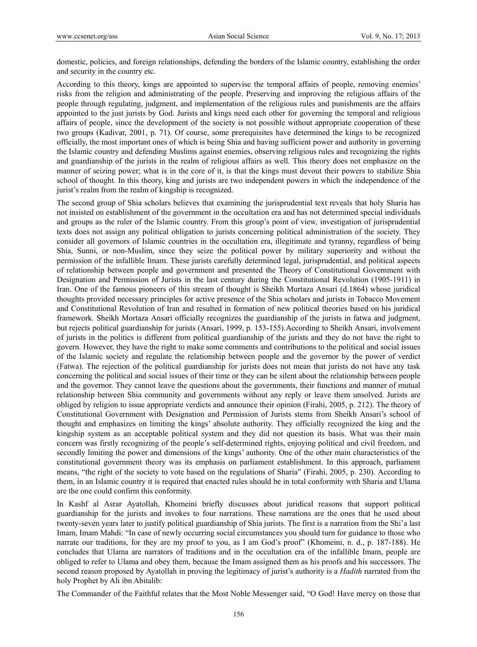domestic, policies, and foreign relationships, defending the borders of the Islamic country, establishing the order and security in the country etc.

According to this theory, kings are appointed to supervise the temporal affairs of people, removing enemies' risks from the religion and administrating of the people. Preserving and improving the religious affairs of the people through regulating, judgment, and implementation of the religious rules and punishments are the affairs appointed to the just jurists by God. Jurists and kings need each other for governing the temporal and religious affairs of people, since the development of the society is not possible without appropriate cooperation of these two groups (Kadivar, 2001, p. 71). Of course, some prerequisites have determined the kings to be recognized officially, the most important ones of which is being Shia and having sufficient power and authority in governing the Islamic country and defending Muslims against enemies, observing religious rules and recognizing the rights and guardianship of the jurists in the realm of religious affairs as well. This theory does not emphasize on the manner of seizing power; what is in the core of it, is that the kings must devout their powers to stabilize Shia school of thought. In this theory, king and jurists are two independent powers in which the independence of the jurist's realm from the realm of kingship is recognized.

The second group of Shia scholars believes that examining the jurisprudential text reveals that holy Sharia has not insisted on establishment of the government in the occultation era and has not determined special individuals and groups as the ruler of the Islamic country. From this group's point of view, investigation of jurisprudential texts does not assign any political obligation to jurists concerning political administration of the society. They consider all governors of Islamic countries in the occultation era, illegitimate and tyranny, regardless of being Shia, Sunni, or non-Muslim, since they seize the political power by military superiority and without the permission of the infallible Imam. These jurists carefully determined legal, jurisprudential, and political aspects of relationship between people and government and presented the Theory of Constitutional Government with Designation and Permission of Jurists in the last century during the Constitutional Revolution (1905-1911) in Iran. One of the famous pioneers of this stream of thought is Sheikh Murtaza Ansari (d.1864) whose juridical thoughts provided necessary principles for active presence of the Shia scholars and jurists in Tobacco Movement and Constitutional Revolution of Iran and resulted in formation of new political theories based on his juridical framework. Sheikh Mortaza Ansari officially recognizes the guardianship of the jurists in fatwa and judgment, but rejects political guardianship for jurists (Ansari, 1999, p. 153-155).According to Sheikh Ansari, involvement of jurists in the politics is different from political guardianship of the jurists and they do not have the right to govern. However, they have the right to make some comments and contributions to the political and social issues of the Islamic society and regulate the relationship between people and the governor by the power of verdict (Fatwa). The rejection of the political guardianship for jurists does not mean that jurists do not have any task concerning the political and social issues of their time or they can be silent about the relationship between people and the governor. They cannot leave the questions about the governments, their functions and manner of mutual relationship between Shia community and governments without any reply or leave them unsolved. Jurists are obliged by religion to issue appropriate verdicts and announce their opinion (Firahi, 2005, p. 212). The theory of Constitutional Government with Designation and Permission of Jurists stems from Sheikh Ansari's school of thought and emphasizes on limiting the kings' absolute authority. They officially recognized the king and the kingship system as an acceptable political system and they did not question its basis. What was their main concern was firstly recognizing of the people's self-determined rights, enjoying political and civil freedom, and secondly limiting the power and dimensions of the kings' authority. One of the other main characteristics of the constitutional government theory was its emphasis on parliament establishment. In this approach, parliament means, "the right of the society to vote based on the regulations of Sharia" (Firahi, 2005, p. 230). According to them, in an Islamic country it is required that enacted rules should be in total conformity with Sharia and Ulama are the one could confirm this conformity.

In Kashf al Asrar Ayatollah, Khomeini briefly discusses about juridical reasons that support political guardianship for the jurists and invokes to four narrations. These narrations are the ones that he used about twenty-seven years later to justify political guardianship of Shia jurists. The first is a narration from the Shi'a last Imam, Imam Mahdi: "In case of newly occurring social circumstances you should turn for guidance to those who narrate our traditions, for they are my proof to you, as I am God's proof" (Khomeini, n. d., p. 187-188). He concludes that Ulama are narrators of traditions and in the occultation era of the infallible Imam, people are obliged to refer to Ulama and obey them, because the Imam assigned them as his proofs and his successors. The second reason proposed by Ayatollah in proving the legitimacy of jurist's authority is a *Hadith* narrated from the holy Prophet by Ali ibn Abitalib:

The Commander of the Faithful relates that the Most Noble Messenger said, "O God! Have mercy on those that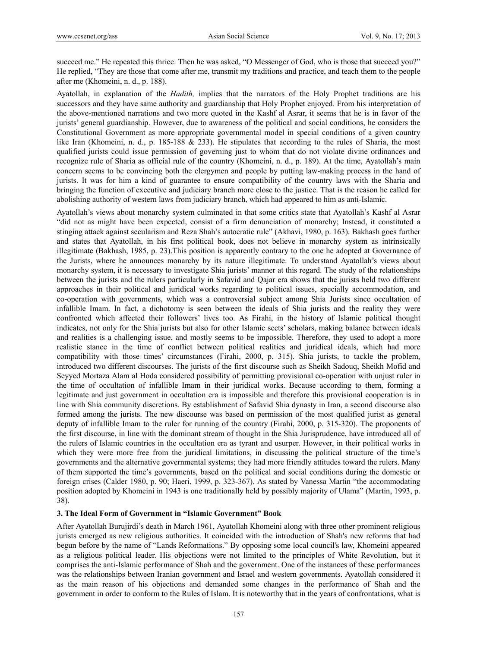succeed me." He repeated this thrice. Then he was asked, "O Messenger of God, who is those that succeed you?" He replied, "They are those that come after me, transmit my traditions and practice, and teach them to the people after me (Khomeini, n. d., p. 188).

Ayatollah, in explanation of the *Hadith,* implies that the narrators of the Holy Prophet traditions are his successors and they have same authority and guardianship that Holy Prophet enjoyed. From his interpretation of the above-mentioned narrations and two more quoted in the Kashf al Asrar, it seems that he is in favor of the jurists' general guardianship. However, due to awareness of the political and social conditions, he considers the Constitutional Government as more appropriate governmental model in special conditions of a given country like Iran (Khomeini, n. d., p. 185-188 & 233). He stipulates that according to the rules of Sharia, the most qualified jurists could issue permission of governing just to whom that do not violate divine ordinances and recognize rule of Sharia as official rule of the country (Khomeini, n. d., p. 189). At the time, Ayatollah's main concern seems to be convincing both the clergymen and people by putting law-making process in the hand of jurists. It was for him a kind of guarantee to ensure compatibility of the country laws with the Sharia and bringing the function of executive and judiciary branch more close to the justice. That is the reason he called for abolishing authority of western laws from judiciary branch, which had appeared to him as anti-Islamic.

Ayatollah's views about monarchy system culminated in that some critics state that Ayatollah's Kashf al Asrar "did not as might have been expected, consist of a firm denunciation of monarchy; Instead, it constituted a stinging attack against secularism and Reza Shah's autocratic rule" (Akhavi, 1980, p. 163). Bakhash goes further and states that Ayatollah, in his first political book, does not believe in monarchy system as intrinsically illegitimate (Bakhash, 1985, p. 23).This position is apparently contrary to the one he adopted at Governance of the Jurists, where he announces monarchy by its nature illegitimate. To understand Ayatollah's views about monarchy system, it is necessary to investigate Shia jurists' manner at this regard. The study of the relationships between the jurists and the rulers particularly in Safavid and Qajar era shows that the jurists held two different approaches in their political and juridical works regarding to political issues, specially accommodation, and co-operation with governments, which was a controversial subject among Shia Jurists since occultation of infallible Imam. In fact, a dichotomy is seen between the ideals of Shia jurists and the reality they were confronted which affected their followers' lives too. As Firahi, in the history of Islamic political thought indicates, not only for the Shia jurists but also for other Islamic sects' scholars, making balance between ideals and realities is a challenging issue, and mostly seems to be impossible. Therefore, they used to adopt a more realistic stance in the time of conflict between political realities and juridical ideals, which had more compatibility with those times' circumstances (Firahi, 2000, p. 315). Shia jurists, to tackle the problem, introduced two different discourses. The jurists of the first discourse such as Sheikh Sadouq, Sheikh Mofid and Seyyed Mortaza Alam al Hoda considered possibility of permitting provisional co-operation with unjust ruler in the time of occultation of infallible Imam in their juridical works. Because according to them, forming a legitimate and just government in occultation era is impossible and therefore this provisional cooperation is in line with Shia community discretions. By establishment of Safavid Shia dynasty in Iran, a second discourse also formed among the jurists. The new discourse was based on permission of the most qualified jurist as general deputy of infallible Imam to the ruler for running of the country (Firahi, 2000, p. 315-320). The proponents of the first discourse, in line with the dominant stream of thought in the Shia Jurisprudence, have introduced all of the rulers of Islamic countries in the occultation era as tyrant and usurper. However, in their political works in which they were more free from the juridical limitations, in discussing the political structure of the time's governments and the alternative governmental systems; they had more friendly attitudes toward the rulers. Many of them supported the time's governments, based on the political and social conditions during the domestic or foreign crises (Calder 1980, p. 90; Haeri, 1999, p. 323-367). As stated by Vanessa Martin "the accommodating position adopted by Khomeini in 1943 is one traditionally held by possibly majority of Ulama" (Martin, 1993, p. 38).

# **3. The Ideal Form of Government in "Islamic Government" Book**

After Ayatollah Burujirdi's death in March 1961, Ayatollah Khomeini along with three other prominent religious jurists emerged as new religious authorities. It coincided with the introduction of Shah's new reforms that had begun before by the name of "Lands Reformations." By opposing some local council's law, Khomeini appeared as a religious political leader. His objections were not limited to the principles of White Revolution, but it comprises the anti-Islamic performance of Shah and the government. One of the instances of these performances was the relationships between Iranian government and Israel and western governments. Ayatollah considered it as the main reason of his objections and demanded some changes in the performance of Shah and the government in order to conform to the Rules of Islam. It is noteworthy that in the years of confrontations, what is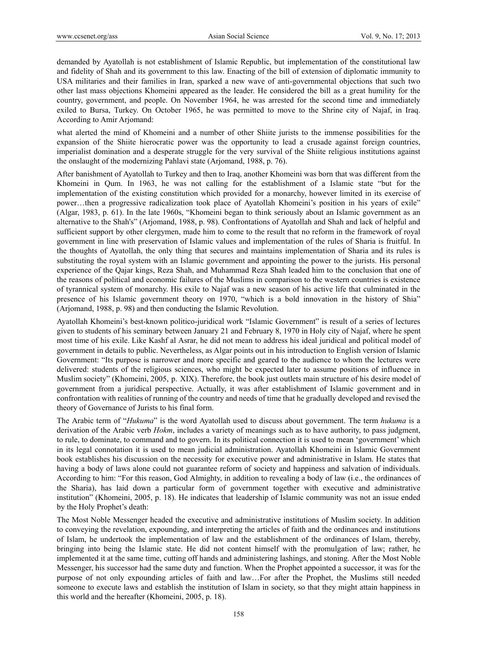demanded by Ayatollah is not establishment of Islamic Republic, but implementation of the constitutional law and fidelity of Shah and its government to this law. Enacting of the bill of extension of diplomatic immunity to USA militaries and their families in Iran, sparked a new wave of anti-governmental objections that such two other last mass objections Khomeini appeared as the leader. He considered the bill as a great humility for the country, government, and people. On November 1964, he was arrested for the second time and immediately exiled to Bursa, Turkey. On October 1965, he was permitted to move to the Shrine city of Najaf, in Iraq. According to Amir Arjomand:

what alerted the mind of Khomeini and a number of other Shiite jurists to the immense possibilities for the expansion of the Shiite hierocratic power was the opportunity to lead a crusade against foreign countries, imperialist domination and a desperate struggle for the very survival of the Shiite religious institutions against the onslaught of the modernizing Pahlavi state (Arjomand, 1988, p. 76).

After banishment of Ayatollah to Turkey and then to Iraq, another Khomeini was born that was different from the Khomeini in Qum. In 1963, he was not calling for the establishment of a Islamic state "but for the implementation of the existing constitution which provided for a monarchy, however limited in its exercise of power…then a progressive radicalization took place of Ayatollah Khomeini's position in his years of exile" (Algar, 1983, p. 61). In the late 1960s, "Khomeini began to think seriously about an Islamic government as an alternative to the Shah's" (Arjomand, 1988, p. 98). Confrontations of Ayatollah and Shah and lack of helpful and sufficient support by other clergymen, made him to come to the result that no reform in the framework of royal government in line with preservation of Islamic values and implementation of the rules of Sharia is fruitful. In the thoughts of Ayatollah, the only thing that secures and maintains implementation of Sharia and its rules is substituting the royal system with an Islamic government and appointing the power to the jurists. His personal experience of the Qajar kings, Reza Shah, and Muhammad Reza Shah leaded him to the conclusion that one of the reasons of political and economic failures of the Muslims in comparison to the western countries is existence of tyrannical system of monarchy. His exile to Najaf was a new season of his active life that culminated in the presence of his Islamic government theory on 1970, "which is a bold innovation in the history of Shia" (Arjomand, 1988, p. 98) and then conducting the Islamic Revolution.

Ayatollah Khomeini's best-known politico-juridical work "Islamic Government" is result of a series of lectures given to students of his seminary between January 21 and February 8, 1970 in Holy city of Najaf, where he spent most time of his exile. Like Kashf al Asrar, he did not mean to address his ideal juridical and political model of government in details to public. Nevertheless, as Algar points out in his introduction to English version of Islamic Government: "Its purpose is narrower and more specific and geared to the audience to whom the lectures were delivered: students of the religious sciences, who might be expected later to assume positions of influence in Muslim society" (Khomeini, 2005, p. XIX). Therefore, the book just outlets main structure of his desire model of government from a juridical perspective. Actually, it was after establishment of Islamic government and in confrontation with realities of running of the country and needs of time that he gradually developed and revised the theory of Governance of Jurists to his final form.

The Arabic term of "*Hukuma*" is the word Ayatollah used to discuss about government. The term *hukuma* is a derivation of the Arabic verb *Hokm*, includes a variety of meanings such as to have authority, to pass judgment, to rule, to dominate, to command and to govern. In its political connection it is used to mean 'government' which in its legal connotation it is used to mean judicial administration. Ayatollah Khomeini in Islamic Government book establishes his discussion on the necessity for executive power and administrative in Islam. He states that having a body of laws alone could not guarantee reform of society and happiness and salvation of individuals. According to him: "For this reason, God Almighty, in addition to revealing a body of law (i.e., the ordinances of the Sharia), has laid down a particular form of government together with executive and administrative institution" (Khomeini, 2005, p. 18). He indicates that leadership of Islamic community was not an issue ended by the Holy Prophet's death:

The Most Noble Messenger headed the executive and administrative institutions of Muslim society. In addition to conveying the revelation, expounding, and interpreting the articles of faith and the ordinances and institutions of Islam, he undertook the implementation of law and the establishment of the ordinances of Islam, thereby, bringing into being the Islamic state. He did not content himself with the promulgation of law; rather, he implemented it at the same time, cutting off hands and administering lashings, and stoning. After the Most Noble Messenger, his successor had the same duty and function. When the Prophet appointed a successor, it was for the purpose of not only expounding articles of faith and law…For after the Prophet, the Muslims still needed someone to execute laws and establish the institution of Islam in society, so that they might attain happiness in this world and the hereafter (Khomeini, 2005, p. 18).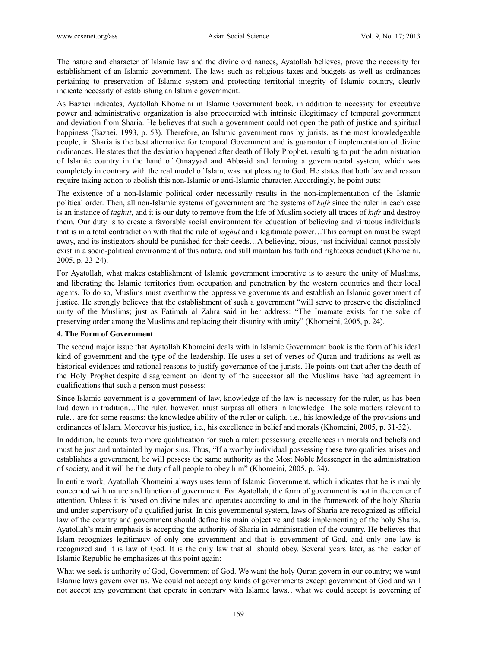The nature and character of Islamic law and the divine ordinances, Ayatollah believes, prove the necessity for establishment of an Islamic government. The laws such as religious taxes and budgets as well as ordinances pertaining to preservation of Islamic system and protecting territorial integrity of Islamic country, clearly indicate necessity of establishing an Islamic government.

As Bazaei indicates, Ayatollah Khomeini in Islamic Government book, in addition to necessity for executive power and administrative organization is also preoccupied with intrinsic illegitimacy of temporal government and deviation from Sharia. He believes that such a government could not open the path of justice and spiritual happiness (Bazaei, 1993, p. 53). Therefore, an Islamic government runs by jurists, as the most knowledgeable people, in Sharia is the best alternative for temporal Government and is guarantor of implementation of divine ordinances. He states that the deviation happened after death of Holy Prophet, resulting to put the administration of Islamic country in the hand of Omayyad and Abbasid and forming a governmental system, which was completely in contrary with the real model of Islam, was not pleasing to God. He states that both law and reason require taking action to abolish this non-Islamic or anti-Islamic character. Accordingly, he point outs:

The existence of a non-Islamic political order necessarily results in the non-implementation of the Islamic political order. Then, all non-Islamic systems of government are the systems of *kufr* since the ruler in each case is an instance of *taghut*, and it is our duty to remove from the life of Muslim society all traces of *kufr* and destroy them. Our duty is to create a favorable social environment for education of believing and virtuous individuals that is in a total contradiction with that the rule of *taghut* and illegitimate power…This corruption must be swept away, and its instigators should be punished for their deeds…A believing, pious, just individual cannot possibly exist in a socio-political environment of this nature, and still maintain his faith and righteous conduct (Khomeini, 2005, p. 23-24).

For Ayatollah, what makes establishment of Islamic government imperative is to assure the unity of Muslims, and liberating the Islamic territories from occupation and penetration by the western countries and their local agents. To do so, Muslims must overthrow the oppressive governments and establish an Islamic government of justice. He strongly believes that the establishment of such a government "will serve to preserve the disciplined unity of the Muslims; just as Fatimah al Zahra said in her address: "The Imamate exists for the sake of preserving order among the Muslims and replacing their disunity with unity" (Khomeini, 2005, p. 24).

# **4. The Form of Government**

The second major issue that Ayatollah Khomeini deals with in Islamic Government book is the form of his ideal kind of government and the type of the leadership. He uses a set of verses of Quran and traditions as well as historical evidences and rational reasons to justify governance of the jurists. He points out that after the death of the Holy Prophet despite disagreement on identity of the successor all the Muslims have had agreement in qualifications that such a person must possess:

Since Islamic government is a government of law, knowledge of the law is necessary for the ruler, as has been laid down in tradition…The ruler, however, must surpass all others in knowledge. The sole matters relevant to rule…are for some reasons: the knowledge ability of the ruler or caliph, i.e., his knowledge of the provisions and ordinances of Islam. Moreover his justice, i.e., his excellence in belief and morals (Khomeini, 2005, p. 31-32).

In addition, he counts two more qualification for such a ruler: possessing excellences in morals and beliefs and must be just and untainted by major sins. Thus, "If a worthy individual possessing these two qualities arises and establishes a government, he will possess the same authority as the Most Noble Messenger in the administration of society, and it will be the duty of all people to obey him" (Khomeini, 2005, p. 34).

In entire work, Ayatollah Khomeini always uses term of Islamic Government, which indicates that he is mainly concerned with nature and function of government. For Ayatollah, the form of government is not in the center of attention. Unless it is based on divine rules and operates according to and in the framework of the holy Sharia and under supervisory of a qualified jurist. In this governmental system, laws of Sharia are recognized as official law of the country and government should define his main objective and task implementing of the holy Sharia. Ayatollah's main emphasis is accepting the authority of Sharia in administration of the country. He believes that Islam recognizes legitimacy of only one government and that is government of God, and only one law is recognized and it is law of God. It is the only law that all should obey. Several years later, as the leader of Islamic Republic he emphasizes at this point again:

What we seek is authority of God, Government of God. We want the holy Quran govern in our country; we want Islamic laws govern over us. We could not accept any kinds of governments except government of God and will not accept any government that operate in contrary with Islamic laws…what we could accept is governing of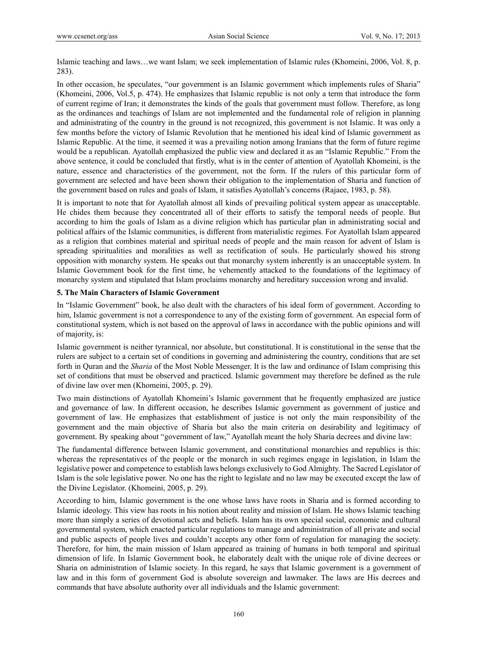Islamic teaching and laws…we want Islam; we seek implementation of Islamic rules (Khomeini, 2006, Vol. 8, p. 283).

In other occasion, he speculates, "our government is an Islamic government which implements rules of Sharia" (Khomeini, 2006, Vol.5, p. 474). He emphasizes that Islamic republic is not only a term that introduce the form of current regime of Iran; it demonstrates the kinds of the goals that government must follow. Therefore, as long as the ordinances and teachings of Islam are not implemented and the fundamental role of religion in planning and administrating of the country in the ground is not recognized, this government is not Islamic. It was only a few months before the victory of Islamic Revolution that he mentioned his ideal kind of Islamic government as Islamic Republic. At the time, it seemed it was a prevailing notion among Iranians that the form of future regime would be a republican. Ayatollah emphasized the public view and declared it as an "Islamic Republic." From the above sentence, it could be concluded that firstly, what is in the center of attention of Ayatollah Khomeini, is the nature, essence and characteristics of the government, not the form. If the rulers of this particular form of government are selected and have been shown their obligation to the implementation of Sharia and function of the government based on rules and goals of Islam, it satisfies Ayatollah's concerns (Rajaee, 1983, p. 58).

It is important to note that for Ayatollah almost all kinds of prevailing political system appear as unacceptable. He chides them because they concentrated all of their efforts to satisfy the temporal needs of people. But according to him the goals of Islam as a divine religion which has particular plan in administrating social and political affairs of the Islamic communities, is different from materialistic regimes. For Ayatollah Islam appeared as a religion that combines material and spiritual needs of people and the main reason for advent of Islam is spreading spiritualities and moralities as well as rectification of souls. He particularly showed his strong opposition with monarchy system. He speaks out that monarchy system inherently is an unacceptable system. In Islamic Government book for the first time, he vehemently attacked to the foundations of the legitimacy of monarchy system and stipulated that Islam proclaims monarchy and hereditary succession wrong and invalid.

## **5. The Main Characters of Islamic Government**

In "Islamic Government" book, he also dealt with the characters of his ideal form of government. According to him, Islamic government is not a correspondence to any of the existing form of government. An especial form of constitutional system, which is not based on the approval of laws in accordance with the public opinions and will of majority, is:

Islamic government is neither tyrannical, nor absolute, but constitutional. It is constitutional in the sense that the rulers are subject to a certain set of conditions in governing and administering the country, conditions that are set forth in Quran and the *Sharia* of the Most Noble Messenger. It is the law and ordinance of Islam comprising this set of conditions that must be observed and practiced. Islamic government may therefore be defined as the rule of divine law over men (Khomeini, 2005, p. 29).

Two main distinctions of Ayatollah Khomeini's Islamic government that he frequently emphasized are justice and governance of law. In different occasion, he describes Islamic government as government of justice and government of law. He emphasizes that establishment of justice is not only the main responsibility of the government and the main objective of Sharia but also the main criteria on desirability and legitimacy of government. By speaking about "government of law," Ayatollah meant the holy Sharia decrees and divine law:

The fundamental difference between Islamic government, and constitutional monarchies and republics is this: whereas the representatives of the people or the monarch in such regimes engage in legislation, in Islam the legislative power and competence to establish laws belongs exclusively to God Almighty. The Sacred Legislator of Islam is the sole legislative power. No one has the right to legislate and no law may be executed except the law of the Divine Legislator. (Khomeini, 2005, p. 29).

According to him, Islamic government is the one whose laws have roots in Sharia and is formed according to Islamic ideology. This view has roots in his notion about reality and mission of Islam. He shows Islamic teaching more than simply a series of devotional acts and beliefs. Islam has its own special social, economic and cultural governmental system, which enacted particular regulations to manage and administration of all private and social and public aspects of people lives and couldn't accepts any other form of regulation for managing the society. Therefore, for him, the main mission of Islam appeared as training of humans in both temporal and spiritual dimension of life. In Islamic Government book, he elaborately dealt with the unique role of divine decrees or Sharia on administration of Islamic society. In this regard, he says that Islamic government is a government of law and in this form of government God is absolute sovereign and lawmaker. The laws are His decrees and commands that have absolute authority over all individuals and the Islamic government: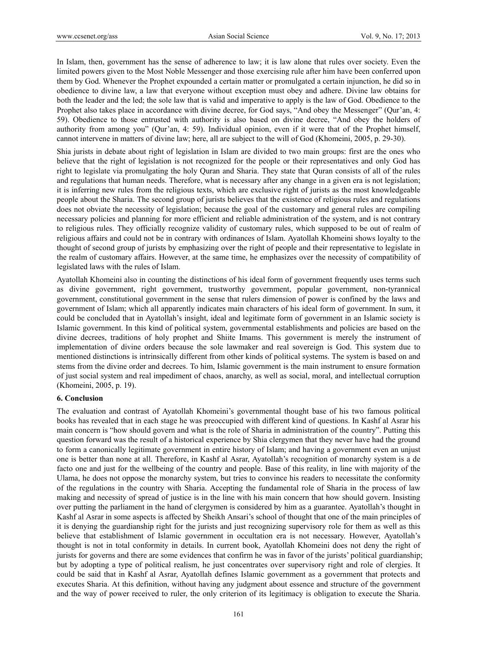In Islam, then, government has the sense of adherence to law; it is law alone that rules over society. Even the limited powers given to the Most Noble Messenger and those exercising rule after him have been conferred upon them by God. Whenever the Prophet expounded a certain matter or promulgated a certain injunction, he did so in obedience to divine law, a law that everyone without exception must obey and adhere. Divine law obtains for both the leader and the led; the sole law that is valid and imperative to apply is the law of God. Obedience to the Prophet also takes place in accordance with divine decree, for God says, "And obey the Messenger" (Qur'an, 4: 59). Obedience to those entrusted with authority is also based on divine decree, "And obey the holders of authority from among you" (Qur'an, 4: 59). Individual opinion, even if it were that of the Prophet himself, cannot intervene in matters of divine law; here, all are subject to the will of God (Khomeini, 2005, p. 29-30).

Shia jurists in debate about right of legislation in Islam are divided to two main groups: first are the ones who believe that the right of legislation is not recognized for the people or their representatives and only God has right to legislate via promulgating the holy Quran and Sharia. They state that Quran consists of all of the rules and regulations that human needs. Therefore, what is necessary after any change in a given era is not legislation; it is inferring new rules from the religious texts, which are exclusive right of jurists as the most knowledgeable people about the Sharia. The second group of jurists believes that the existence of religious rules and regulations does not obviate the necessity of legislation; because the goal of the customary and general rules are compiling necessary policies and planning for more efficient and reliable administration of the system, and is not contrary to religious rules. They officially recognize validity of customary rules, which supposed to be out of realm of religious affairs and could not be in contrary with ordinances of Islam. Ayatollah Khomeini shows loyalty to the thought of second group of jurists by emphasizing over the right of people and their representative to legislate in the realm of customary affairs. However, at the same time, he emphasizes over the necessity of compatibility of legislated laws with the rules of Islam.

Ayatollah Khomeini also in counting the distinctions of his ideal form of government frequently uses terms such as divine government, right government, trustworthy government, popular government, non-tyrannical government, constitutional government in the sense that rulers dimension of power is confined by the laws and government of Islam; which all apparently indicates main characters of his ideal form of government. In sum, it could be concluded that in Ayatollah's insight, ideal and legitimate form of government in an Islamic society is Islamic government. In this kind of political system, governmental establishments and policies are based on the divine decrees, traditions of holy prophet and Shiite Imams. This government is merely the instrument of implementation of divine orders because the sole lawmaker and real sovereign is God. This system due to mentioned distinctions is intrinsically different from other kinds of political systems. The system is based on and stems from the divine order and decrees. To him, Islamic government is the main instrument to ensure formation of just social system and real impediment of chaos, anarchy, as well as social, moral, and intellectual corruption (Khomeini, 2005, p. 19).

### **6. Conclusion**

The evaluation and contrast of Ayatollah Khomeini's governmental thought base of his two famous political books has revealed that in each stage he was preoccupied with different kind of questions. In Kashf al Asrar his main concern is "how should govern and what is the role of Sharia in administration of the country". Putting this question forward was the result of a historical experience by Shia clergymen that they never have had the ground to form a canonically legitimate government in entire history of Islam; and having a government even an unjust one is better than none at all. Therefore, in Kashf al Asrar, Ayatollah's recognition of monarchy system is a de facto one and just for the wellbeing of the country and people. Base of this reality, in line with majority of the Ulama, he does not oppose the monarchy system, but tries to convince his readers to necessitate the conformity of the regulations in the country with Sharia. Accepting the fundamental role of Sharia in the process of law making and necessity of spread of justice is in the line with his main concern that how should govern. Insisting over putting the parliament in the hand of clergymen is considered by him as a guarantee. Ayatollah's thought in Kashf al Asrar in some aspects is affected by Sheikh Ansari's school of thought that one of the main principles of it is denying the guardianship right for the jurists and just recognizing supervisory role for them as well as this believe that establishment of Islamic government in occultation era is not necessary. However, Ayatollah's thought is not in total conformity in details. In current book, Ayatollah Khomeini does not deny the right of jurists for governs and there are some evidences that confirm he was in favor of the jurists' political guardianship; but by adopting a type of political realism, he just concentrates over supervisory right and role of clergies. It could be said that in Kashf al Asrar, Ayatollah defines Islamic government as a government that protects and executes Sharia. At this definition, without having any judgment about essence and structure of the government and the way of power received to ruler, the only criterion of its legitimacy is obligation to execute the Sharia.